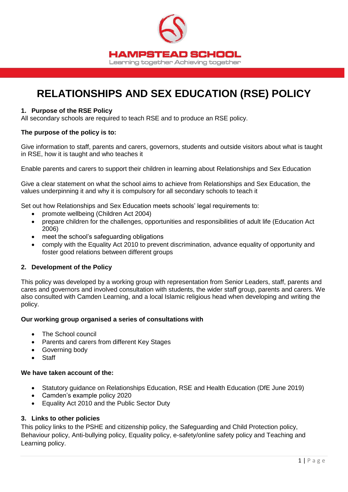

# **RELATIONSHIPS AND SEX EDUCATION (RSE) POLICY**

#### **1. Purpose of the RSE Policy**

All secondary schools are required to teach RSE and to produce an RSE policy.

#### **The purpose of the policy is to:**

Give information to staff, parents and carers, governors, students and outside visitors about what is taught in RSE, how it is taught and who teaches it

Enable parents and carers to support their children in learning about Relationships and Sex Education

Give a clear statement on what the school aims to achieve from Relationships and Sex Education, the values underpinning it and why it is compulsory for all secondary schools to teach it

Set out how Relationships and Sex Education meets schools' legal requirements to:

- promote wellbeing (Children Act 2004)
- prepare children for the challenges, opportunities and responsibilities of adult life (Education Act 2006)
- meet the school's safeguarding obligations
- comply with the Equality Act 2010 to prevent discrimination, advance equality of opportunity and foster good relations between different groups

#### **2. Development of the Policy**

This policy was developed by a working group with representation from Senior Leaders, staff, parents and cares and governors and involved consultation with students, the wider staff group, parents and carers. We also consulted with Camden Learning, and a local Islamic religious head when developing and writing the policy.

#### **Our working group organised a series of consultations with**

- The School council
- Parents and carers from different Key Stages
- Governing body
- **Staff**

#### **We have taken account of the:**

- Statutory guidance on Relationships Education, RSE and Health Education (DfE June 2019)
- Camden's example policy 2020
- Equality Act 2010 and the Public Sector Duty

#### **3. Links to other policies**

This policy links to the PSHE and citizenship policy, the Safeguarding and Child Protection policy, Behaviour policy, Anti-bullying policy, Equality policy, e-safety/online safety policy and Teaching and Learning policy.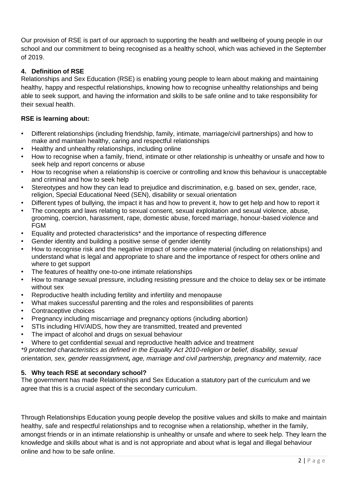Our provision of RSE is part of our approach to supporting the health and wellbeing of young people in our school and our commitment to being recognised as a healthy school, which was achieved in the September of 2019.

# **4. Definition of RSE**

Relationships and Sex Education (RSE) is enabling young people to learn about making and maintaining healthy, happy and respectful relationships, knowing how to recognise unhealthy relationships and being able to seek support, and having the information and skills to be safe online and to take responsibility for their sexual health.

# **RSE is learning about:**

- Different relationships (including friendship, family, intimate, marriage/civil partnerships) and how to make and maintain healthy, caring and respectful relationships
- Healthy and unhealthy relationships, including online
- How to recognise when a family, friend, intimate or other relationship is unhealthy or unsafe and how to seek help and report concerns or abuse
- How to recognise when a relationship is coercive or controlling and know this behaviour is unacceptable and criminal and how to seek help
- Stereotypes and how they can lead to prejudice and discrimination, e.g. based on sex, gender, race, religion, Special Educational Need (SEN), disability or sexual orientation
- Different types of bullying, the impact it has and how to prevent it, how to get help and how to report it
- The concepts and laws relating to sexual consent, sexual exploitation and sexual violence, abuse, grooming, coercion, harassment, rape, domestic abuse, forced marriage, honour-based violence and FGM
- Equality and protected characteristics\* and the importance of respecting difference
- Gender identity and building a positive sense of gender identity
- How to recognise risk and the negative impact of some online material (including on relationships) and understand what is legal and appropriate to share and the importance of respect for others online and where to get support
- The features of healthy one-to-one intimate relationships
- How to manage sexual pressure, including resisting pressure and the choice to delay sex or be intimate without sex
- Reproductive health including fertility and infertility and menopause
- What makes successful parenting and the roles and responsibilities of parents
- Contraceptive choices
- Pregnancy including miscarriage and pregnancy options (including abortion)
- STIs including HIV/AIDS, how they are transmitted, treated and prevented
- The impact of alcohol and drugs on sexual behaviour
- Where to get confidential sexual and reproductive health advice and treatment

*\*9 protected characteristics as defined in the Equality Act 2010-religion or belief, disability, sexual orientation, sex, gender reassignment, age, marriage and civil partnership, pregnancy and maternity, race*

## **5. Why teach RSE at secondary school?**

The government has made Relationships and Sex Education a statutory part of the curriculum and we agree that this is a crucial aspect of the secondary curriculum.

Through Relationships Education young people develop the positive values and skills to make and maintain healthy, safe and respectful relationships and to recognise when a relationship, whether in the family, amongst friends or in an intimate relationship is unhealthy or unsafe and where to seek help. They learn the knowledge and skills about what is and is not appropriate and about what is legal and illegal behaviour online and how to be safe online.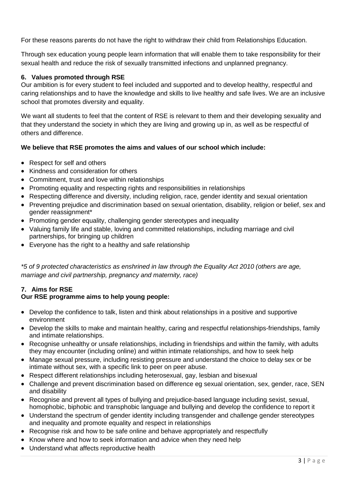For these reasons parents do not have the right to withdraw their child from Relationships Education.

Through sex education young people learn information that will enable them to take responsibility for their sexual health and reduce the risk of sexually transmitted infections and unplanned pregnancy.

## **6. Values promoted through RSE**

Our ambition is for every student to feel included and supported and to develop healthy, respectful and caring relationships and to have the knowledge and skills to live healthy and safe lives. We are an inclusive school that promotes diversity and equality.

We want all students to feel that the content of RSE is relevant to them and their developing sexuality and that they understand the society in which they are living and growing up in, as well as be respectful of others and difference.

## **We believe that RSE promotes the aims and values of our school which include:**

- Respect for self and others
- Kindness and consideration for others
- Commitment, trust and love within relationships
- Promoting equality and respecting rights and responsibilities in relationships
- Respecting difference and diversity, including religion, race, gender identity and sexual orientation
- Preventing prejudice and discrimination based on sexual orientation, disability, religion or belief, sex and gender reassignment\*
- Promoting gender equality, challenging gender stereotypes and inequality
- Valuing family life and stable, loving and committed relationships, including marriage and civil partnerships, for bringing up children
- Everyone has the right to a healthy and safe relationship

*\*5 of 9 protected characteristics as enshrined in law through the Equality Act 2010 (others are age, marriage and civil partnership, pregnancy and maternity, race)* 

## **7. Aims for RSE**

## **Our RSE programme aims to help young people:**

- Develop the confidence to talk, listen and think about relationships in a positive and supportive environment
- Develop the skills to make and maintain healthy, caring and respectful relationships-friendships, family and intimate relationships.
- Recognise unhealthy or unsafe relationships, including in friendships and within the family, with adults they may encounter (including online) and within intimate relationships, and how to seek help
- Manage sexual pressure, including resisting pressure and understand the choice to delay sex or be intimate without sex, with a specific link to peer on peer abuse.
- Respect different relationships including heterosexual, gay, lesbian and bisexual
- Challenge and prevent discrimination based on difference eg sexual orientation, sex, gender, race, SEN and disability
- Recognise and prevent all types of bullying and prejudice-based language including sexist, sexual, homophobic, biphobic and transphobic language and bullying and develop the confidence to report it
- Understand the spectrum of gender identity including transgender and challenge gender stereotypes and inequality and promote equality and respect in relationships
- Recognise risk and how to be safe online and behave appropriately and respectfully
- Know where and how to seek information and advice when they need help
- Understand what affects reproductive health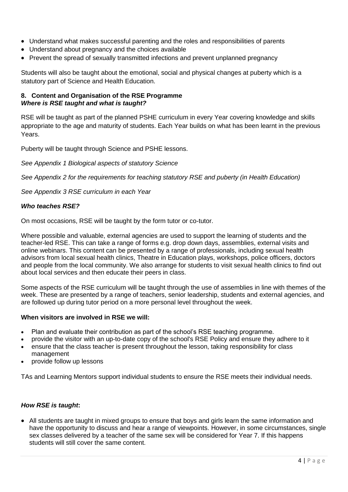- Understand what makes successful parenting and the roles and responsibilities of parents
- Understand about pregnancy and the choices available
- Prevent the spread of sexually transmitted infections and prevent unplanned pregnancy

Students will also be taught about the emotional, social and physical changes at puberty which is a statutory part of Science and Health Education.

### **8. Content and Organisation of the RSE Programme** *Where is RSE taught and what is taught?*

RSE will be taught as part of the planned PSHE curriculum in every Year covering knowledge and skills appropriate to the age and maturity of students. Each Year builds on what has been learnt in the previous Years.

Puberty will be taught through Science and PSHE lessons.

#### *See Appendix 1 Biological aspects of statutory Science*

*See Appendix 2 for the requirements for teaching statutory RSE and puberty (in Health Education)*

*See Appendix 3 RSE curriculum in each Year* 

#### *Who teaches RSE?*

On most occasions, RSE will be taught by the form tutor or co-tutor.

Where possible and valuable, external agencies are used to support the learning of students and the teacher-led RSE. This can take a range of forms e.g. drop down days, assemblies, external visits and online webinars. This content can be presented by a range of professionals, including sexual health advisors from local sexual health clinics, Theatre in Education plays, workshops, police officers, doctors and people from the local community. We also arrange for students to visit sexual health clinics to find out about local services and then educate their peers in class.

Some aspects of the RSE curriculum will be taught through the use of assemblies in line with themes of the week. These are presented by a range of teachers, senior leadership, students and external agencies, and are followed up during tutor period on a more personal level throughout the week.

#### **When visitors are involved in RSE we will:**

- Plan and evaluate their contribution as part of the school's RSE teaching programme.
- provide the visitor with an up-to-date copy of the school's RSE Policy and ensure they adhere to it
- ensure that the class teacher is present throughout the lesson, taking responsibility for class management
- provide follow up lessons

TAs and Learning Mentors support individual students to ensure the RSE meets their individual needs.

#### *How RSE is taught***:**

• All students are taught in mixed groups to ensure that boys and girls learn the same information and have the opportunity to discuss and hear a range of viewpoints. However, in some circumstances, single sex classes delivered by a teacher of the same sex will be considered for Year 7. If this happens students will still cover the same content.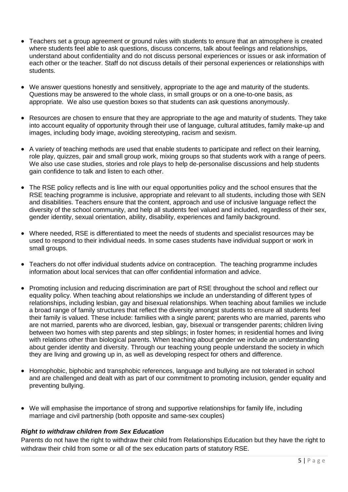- Teachers set a group agreement or ground rules with students to ensure that an atmosphere is created where students feel able to ask questions, discuss concerns, talk about feelings and relationships, understand about confidentiality and do not discuss personal experiences or issues or ask information of each other or the teacher. Staff do not discuss details of their personal experiences or relationships with students.
- We answer questions honestly and sensitively, appropriate to the age and maturity of the students. Questions may be answered to the whole class, in small groups or on a one-to-one basis, as appropriate. We also use question boxes so that students can ask questions anonymously.
- Resources are chosen to ensure that they are appropriate to the age and maturity of students. They take into account equality of opportunity through their use of language, cultural attitudes, family make-up and images, including body image, avoiding stereotyping, racism and sexism.
- A variety of teaching methods are used that enable students to participate and reflect on their learning, role play, quizzes, pair and small group work, mixing groups so that students work with a range of peers. We also use case studies, stories and role plays to help de-personalise discussions and help students gain confidence to talk and listen to each other.
- The RSE policy reflects and is line with our equal opportunities policy and the school ensures that the RSE teaching programme is inclusive, appropriate and relevant to all students, including those with SEN and disabilities. Teachers ensure that the content, approach and use of inclusive language reflect the diversity of the school community, and help all students feel valued and included, regardless of their sex, gender identity, sexual orientation, ability, disability, experiences and family background.
- Where needed, RSE is differentiated to meet the needs of students and specialist resources may be used to respond to their individual needs. In some cases students have individual support or work in small groups.
- Teachers do not offer individual students advice on contraception. The teaching programme includes information about local services that can offer confidential information and advice.
- Promoting inclusion and reducing discrimination are part of RSE throughout the school and reflect our equality policy. When teaching about relationships we include an understanding of different types of relationships, including lesbian, gay and bisexual relationships. When teaching about families we include a broad range of family structures that reflect the diversity amongst students to ensure all students feel their family is valued. These include: families with a single parent; parents who are married, parents who are not married, parents who are divorced, lesbian, gay, bisexual or transgender parents; children living between two homes with step parents and step siblings; in foster homes; in residential homes and living with relations other than biological parents. When teaching about gender we include an understanding about gender identity and diversity. Through our teaching young people understand the society in which they are living and growing up in, as well as developing respect for others and difference.
- Homophobic, biphobic and transphobic references, language and bullying are not tolerated in school and are challenged and dealt with as part of our commitment to promoting inclusion, gender equality and preventing bullying.
- We will emphasise the importance of strong and supportive relationships for family life, including marriage and civil partnership (both opposite and same-sex couples)

#### *Right to withdraw children from Sex Education*

Parents do not have the right to withdraw their child from Relationships Education but they have the right to withdraw their child from some or all of the sex education parts of statutory RSE.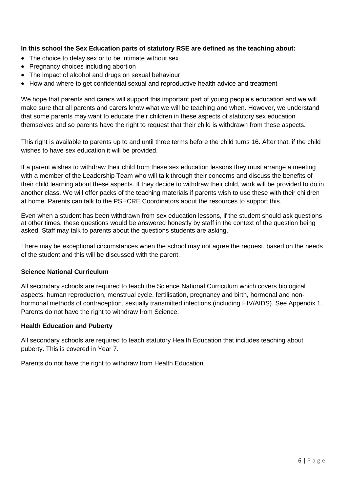## **In this school the Sex Education parts of statutory RSE are defined as the teaching about:**

- The choice to delay sex or to be intimate without sex
- Pregnancy choices including abortion
- The impact of alcohol and drugs on sexual behaviour
- How and where to get confidential sexual and reproductive health advice and treatment

We hope that parents and carers will support this important part of young people's education and we will make sure that all parents and carers know what we will be teaching and when. However, we understand that some parents may want to educate their children in these aspects of statutory sex education themselves and so parents have the right to request that their child is withdrawn from these aspects.

This right is available to parents up to and until three terms before the child turns 16. After that, if the child wishes to have sex education it will be provided.

If a parent wishes to withdraw their child from these sex education lessons they must arrange a meeting with a member of the Leadership Team who will talk through their concerns and discuss the benefits of their child learning about these aspects. If they decide to withdraw their child, work will be provided to do in another class. We will offer packs of the teaching materials if parents wish to use these with their children at home. Parents can talk to the PSHCRE Coordinators about the resources to support this.

Even when a student has been withdrawn from sex education lessons, if the student should ask questions at other times, these questions would be answered honestly by staff in the context of the question being asked. Staff may talk to parents about the questions students are asking.

There may be exceptional circumstances when the school may not agree the request, based on the needs of the student and this will be discussed with the parent.

#### **Science National Curriculum**

All secondary schools are required to teach the Science National Curriculum which covers biological aspects; human reproduction, menstrual cycle, fertilisation, pregnancy and birth, hormonal and nonhormonal methods of contraception, sexually transmitted infections (including HIV/AIDS). See Appendix 1. Parents do not have the right to withdraw from Science.

#### **Health Education and Puberty**

All secondary schools are required to teach statutory Health Education that includes teaching about puberty. This is covered in Year 7.

Parents do not have the right to withdraw from Health Education.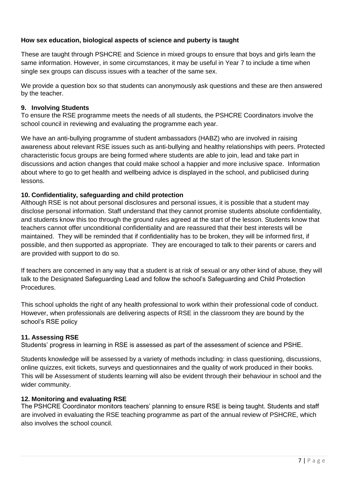## **How sex education, biological aspects of science and puberty is taught**

These are taught through PSHCRE and Science in mixed groups to ensure that boys and girls learn the same information. However, in some circumstances, it may be useful in Year 7 to include a time when single sex groups can discuss issues with a teacher of the same sex.

We provide a question box so that students can anonymously ask questions and these are then answered by the teacher.

## **9. Involving Students**

To ensure the RSE programme meets the needs of all students, the PSHCRE Coordinators involve the school council in reviewing and evaluating the programme each year.

We have an anti-bullying programme of student ambassadors (HABZ) who are involved in raising awareness about relevant RSE issues such as anti-bullying and healthy relationships with peers. Protected characteristic focus groups are being formed where students are able to join, lead and take part in discussions and action changes that could make school a happier and more inclusive space. Information about where to go to get health and wellbeing advice is displayed in the school, and publicised during lessons.

## **10. Confidentiality, safeguarding and child protection**

Although RSE is not about personal disclosures and personal issues, it is possible that a student may disclose personal information. Staff understand that they cannot promise students absolute confidentiality, and students know this too through the ground rules agreed at the start of the lesson. Students know that teachers cannot offer unconditional confidentiality and are reassured that their best interests will be maintained. They will be reminded that if confidentiality has to be broken, they will be informed first, if possible, and then supported as appropriate. They are encouraged to talk to their parents or carers and are provided with support to do so.

If teachers are concerned in any way that a student is at risk of sexual or any other kind of abuse, they will talk to the Designated Safeguarding Lead and follow the school's Safeguarding and Child Protection **Procedures** 

This school upholds the right of any health professional to work within their professional code of conduct. However, when professionals are delivering aspects of RSE in the classroom they are bound by the school's RSE policy

#### **11. Assessing RSE**

Students' progress in learning in RSE is assessed as part of the assessment of science and PSHE.

Students knowledge will be assessed by a variety of methods including: in class questioning, discussions, online quizzes, exit tickets, surveys and questionnaires and the quality of work produced in their books. This will be Assessment of students learning will also be evident through their behaviour in school and the wider community.

#### **12. Monitoring and evaluating RSE**

The PSHCRE Coordinator monitors teachers' planning to ensure RSE is being taught. Students and staff are involved in evaluating the RSE teaching programme as part of the annual review of PSHCRE, which also involves the school council.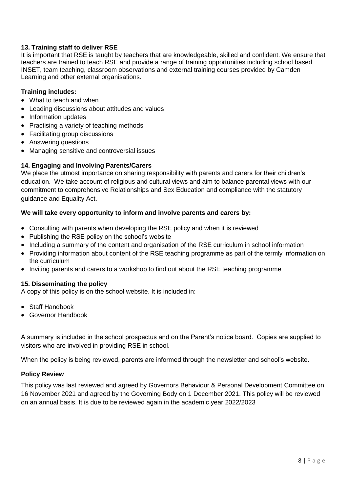## **13. Training staff to deliver RSE**

It is important that RSE is taught by teachers that are knowledgeable, skilled and confident. We ensure that teachers are trained to teach RSE and provide a range of training opportunities including school based INSET, team teaching, classroom observations and external training courses provided by Camden Learning and other external organisations.

## **Training includes:**

- What to teach and when
- Leading discussions about attitudes and values
- Information updates
- Practising a variety of teaching methods
- Facilitating group discussions
- Answering questions
- Managing sensitive and controversial issues

## **14. Engaging and Involving Parents/Carers**

We place the utmost importance on sharing responsibility with parents and carers for their children's education. We take account of religious and cultural views and aim to balance parental views with our commitment to comprehensive Relationships and Sex Education and compliance with the statutory guidance and Equality Act.

## **We will take every opportunity to inform and involve parents and carers by:**

- Consulting with parents when developing the RSE policy and when it is reviewed
- Publishing the RSE policy on the school's website
- Including a summary of the content and organisation of the RSE curriculum in school information
- Providing information about content of the RSE teaching programme as part of the termly information on the curriculum
- Inviting parents and carers to a workshop to find out about the RSE teaching programme

#### **15. Disseminating the policy**

A copy of this policy is on the school website. It is included in:

- Staff Handbook
- Governor Handbook

A summary is included in the school prospectus and on the Parent's notice board. Copies are supplied to visitors who are involved in providing RSE in school.

When the policy is being reviewed, parents are informed through the newsletter and school's website.

## **Policy Review**

This policy was last reviewed and agreed by Governors Behaviour & Personal Development Committee on 16 November 2021 and agreed by the Governing Body on 1 December 2021. This policy will be reviewed on an annual basis. It is due to be reviewed again in the academic year 2022/2023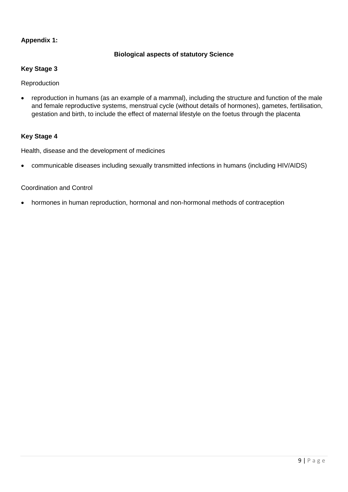## **Appendix 1:**

## **Biological aspects of statutory Science**

## **Key Stage 3**

Reproduction

 reproduction in humans (as an example of a mammal), including the structure and function of the male and female reproductive systems, menstrual cycle (without details of hormones), gametes, fertilisation, gestation and birth, to include the effect of maternal lifestyle on the foetus through the placenta

#### **Key Stage 4**

Health, disease and the development of medicines

communicable diseases including sexually transmitted infections in humans (including HIV/AIDS)

### Coordination and Control

hormones in human reproduction, hormonal and non-hormonal methods of contraception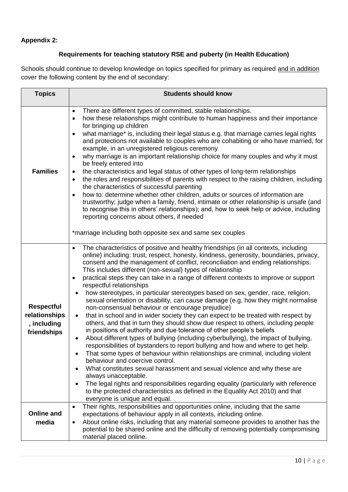# **Appendix 2:**

## **Requirements for teaching statutory RSE and puberty (in Health Education)**

Schools should continue to develop knowledge on topics specified for primary as required and in addition cover the following content by the end of secondary:

| <b>Topics</b>                                                    | <b>Students should know</b>                                                                                                                                                                                                                                                                                                                                                                                                                                                                                                                                                                                                                                                                                                                                                                                                                                                                                                                                                                                                                                                                                                                                                                                                                                                                                                                                                                                                                                                                                                                                                                                                   |  |
|------------------------------------------------------------------|-------------------------------------------------------------------------------------------------------------------------------------------------------------------------------------------------------------------------------------------------------------------------------------------------------------------------------------------------------------------------------------------------------------------------------------------------------------------------------------------------------------------------------------------------------------------------------------------------------------------------------------------------------------------------------------------------------------------------------------------------------------------------------------------------------------------------------------------------------------------------------------------------------------------------------------------------------------------------------------------------------------------------------------------------------------------------------------------------------------------------------------------------------------------------------------------------------------------------------------------------------------------------------------------------------------------------------------------------------------------------------------------------------------------------------------------------------------------------------------------------------------------------------------------------------------------------------------------------------------------------------|--|
| <b>Families</b>                                                  | There are different types of committed, stable relationships.<br>$\bullet$<br>how these relationships might contribute to human happiness and their importance<br>$\bullet$<br>for bringing up children<br>what marriage* is, including their legal status e.g. that marriage carries legal rights<br>$\bullet$<br>and protections not available to couples who are cohabiting or who have married, for<br>example, in an unregistered religious ceremony<br>why marriage is an important relationship choice for many couples and why it must<br>be freely entered into<br>the characteristics and legal status of other types of long-term relationships<br>٠<br>the roles and responsibilities of parents with respect to the raising children, including<br>$\bullet$<br>the characteristics of successful parenting<br>how to: determine whether other children, adults or sources of information are<br>$\bullet$<br>trustworthy; judge when a family, friend, intimate or other relationship is unsafe (and<br>to recognise this in others' relationships); and, how to seek help or advice, including<br>reporting concerns about others, if needed<br>*marriage including both opposite sex and same sex couples                                                                                                                                                                                                                                                                                                                                                                                                     |  |
| <b>Respectful</b><br>relationships<br>, including<br>friendships | The characteristics of positive and healthy friendships (in all contexts, including<br>$\bullet$<br>online) including: trust, respect, honesty, kindness, generosity, boundaries, privacy,<br>consent and the management of conflict, reconciliation and ending relationships.<br>This includes different (non-sexual) types of relationship<br>practical steps they can take in a range of different contexts to improve or support<br>$\bullet$<br>respectful relationships<br>how stereotypes, in particular stereotypes based on sex, gender, race, religion,<br>٠<br>sexual orientation or disability, can cause damage (e.g. how they might normalise<br>non-consensual behaviour or encourage prejudice)<br>that in school and in wider society they can expect to be treated with respect by<br>$\bullet$<br>others, and that in turn they should show due respect to others, including people<br>in positions of authority and due tolerance of other people's beliefs<br>About different types of bullying (including cyberbullying), the impact of bullying,<br>$\bullet$<br>responsibilities of bystanders to report bullying and how and where to get help.<br>That some types of behaviour within relationships are criminal, including violent<br>behaviour and coercive control.<br>What constitutes sexual harassment and sexual violence and why these are<br>always unacceptable.<br>The legal rights and responsibilities regarding equality (particularly with reference<br>$\bullet$<br>to the protected characteristics as defined in the Equality Act 2010) and that<br>everyone is unique and equal. |  |
| <b>Online and</b><br>media                                       | Their rights, responsibilities and opportunities online, including that the same<br>$\bullet$<br>expectations of behaviour apply in all contexts, including online.<br>About online risks, including that any material someone provides to another has the<br>$\bullet$<br>potential to be shared online and the difficulty of removing potentially compromising<br>material placed online.                                                                                                                                                                                                                                                                                                                                                                                                                                                                                                                                                                                                                                                                                                                                                                                                                                                                                                                                                                                                                                                                                                                                                                                                                                   |  |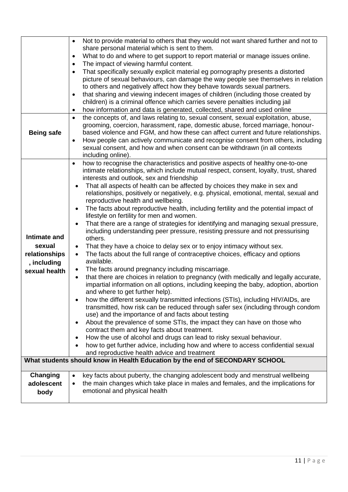|                   | Not to provide material to others that they would not want shared further and not to<br>$\bullet$                                                                                     |
|-------------------|---------------------------------------------------------------------------------------------------------------------------------------------------------------------------------------|
|                   | share personal material which is sent to them.<br>What to do and where to get support to report material or manage issues online.                                                     |
|                   | $\bullet$<br>The impact of viewing harmful content.                                                                                                                                   |
|                   | That specifically sexually explicit material eg pornography presents a distorted<br>$\bullet$                                                                                         |
|                   | picture of sexual behaviours, can damage the way people see themselves in relation                                                                                                    |
|                   | to others and negatively affect how they behave towards sexual partners.                                                                                                              |
|                   | that sharing and viewing indecent images of children (including those created by<br>$\bullet$                                                                                         |
|                   | children) is a criminal offence which carries severe penalties including jail                                                                                                         |
|                   | how information and data is generated, collected, shared and used online<br>٠                                                                                                         |
|                   | the concepts of, and laws relating to, sexual consent, sexual exploitation, abuse,<br>$\bullet$                                                                                       |
|                   | grooming, coercion, harassment, rape, domestic abuse, forced marriage, honour-                                                                                                        |
| <b>Being safe</b> | based violence and FGM, and how these can affect current and future relationships.                                                                                                    |
|                   | How people can actively communicate and recognise consent from others, including<br>$\bullet$                                                                                         |
|                   | sexual consent, and how and when consent can be withdrawn (in all contexts                                                                                                            |
|                   | including online).                                                                                                                                                                    |
|                   | how to recognise the characteristics and positive aspects of healthy one-to-one<br>$\bullet$<br>intimate relationships, which include mutual respect, consent, loyalty, trust, shared |
|                   | interests and outlook, sex and friendship                                                                                                                                             |
|                   | That all aspects of health can be affected by choices they make in sex and                                                                                                            |
|                   | relationships, positively or negatively, e.g. physical, emotional, mental, sexual and                                                                                                 |
|                   | reproductive health and wellbeing.                                                                                                                                                    |
|                   | The facts about reproductive health, including fertility and the potential impact of<br>$\bullet$                                                                                     |
|                   | lifestyle on fertility for men and women.                                                                                                                                             |
|                   | That there are a range of strategies for identifying and managing sexual pressure,<br>$\bullet$                                                                                       |
| Intimate and      | including understanding peer pressure, resisting pressure and not pressurising                                                                                                        |
|                   | others.                                                                                                                                                                               |
| sexual            | That they have a choice to delay sex or to enjoy intimacy without sex.<br>$\bullet$                                                                                                   |
| relationships     | The facts about the full range of contraceptive choices, efficacy and options<br>available.                                                                                           |
| , including       | The facts around pregnancy including miscarriage.<br>$\bullet$                                                                                                                        |
| sexual health     | that there are choices in relation to pregnancy (with medically and legally accurate,<br>$\bullet$                                                                                    |
|                   | impartial information on all options, including keeping the baby, adoption, abortion                                                                                                  |
|                   | and where to get further help).                                                                                                                                                       |
|                   | how the different sexually transmitted infections (STIs), including HIV/AIDs, are                                                                                                     |
|                   | transmitted, how risk can be reduced through safer sex (including through condom                                                                                                      |
|                   | use) and the importance of and facts about testing                                                                                                                                    |
|                   | About the prevalence of some STIs, the impact they can have on those who<br>٠                                                                                                         |
|                   | contract them and key facts about treatment.                                                                                                                                          |
|                   | How the use of alcohol and drugs can lead to risky sexual behaviour.<br>٠<br>how to get further advice, including how and where to access confidential sexual                         |
|                   | and reproductive health advice and treatment                                                                                                                                          |
|                   | What students should know in Health Education by the end of SECONDARY SCHOOL                                                                                                          |
|                   |                                                                                                                                                                                       |
| Changing          | key facts about puberty, the changing adolescent body and menstrual wellbeing                                                                                                         |
| adolescent        | the main changes which take place in males and females, and the implications for<br>$\bullet$                                                                                         |
| body              | emotional and physical health                                                                                                                                                         |
|                   |                                                                                                                                                                                       |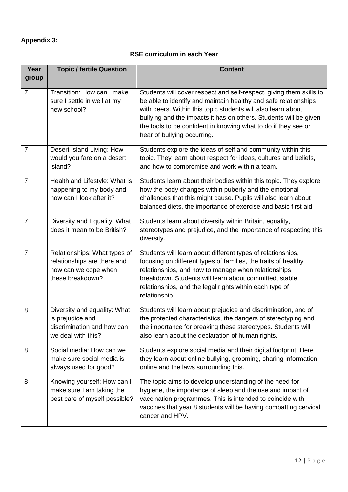# **Appendix 3:**

## **RSE curriculum in each Year**

| Year           | <b>Topic / fertile Question</b>                                                                         | <b>Content</b>                                                                                                                                                                                                                                                                                                                                                               |
|----------------|---------------------------------------------------------------------------------------------------------|------------------------------------------------------------------------------------------------------------------------------------------------------------------------------------------------------------------------------------------------------------------------------------------------------------------------------------------------------------------------------|
| group          |                                                                                                         |                                                                                                                                                                                                                                                                                                                                                                              |
| $\overline{7}$ | Transition: How can I make<br>sure I settle in well at my<br>new school?                                | Students will cover respect and self-respect, giving them skills to<br>be able to identify and maintain healthy and safe relationships<br>with peers. Within this topic students will also learn about<br>bullying and the impacts it has on others. Students will be given<br>the tools to be confident in knowing what to do if they see or<br>hear of bullying occurring. |
| $\overline{7}$ | Desert Island Living: How<br>would you fare on a desert<br>island?                                      | Students explore the ideas of self and community within this<br>topic. They learn about respect for ideas, cultures and beliefs,<br>and how to compromise and work within a team.                                                                                                                                                                                            |
| $\overline{7}$ | Health and Lifestyle: What is<br>happening to my body and<br>how can I look after it?                   | Students learn about their bodies within this topic. They explore<br>how the body changes within puberty and the emotional<br>challenges that this might cause. Pupils will also learn about<br>balanced diets, the importance of exercise and basic first aid.                                                                                                              |
| $\overline{7}$ | Diversity and Equality: What<br>does it mean to be British?                                             | Students learn about diversity within Britain, equality,<br>stereotypes and prejudice, and the importance of respecting this<br>diversity.                                                                                                                                                                                                                                   |
| $\overline{7}$ | Relationships: What types of<br>relationships are there and<br>how can we cope when<br>these breakdown? | Students will learn about different types of relationships,<br>focusing on different types of families, the traits of healthy<br>relationships, and how to manage when relationships<br>breakdown. Students will learn about committed, stable<br>relationships, and the legal rights within each type of<br>relationship.                                                   |
| 8              | Diversity and equality: What<br>is prejudice and<br>discrimination and how can<br>we deal with this?    | Students will learn about prejudice and discrimination, and of<br>the protected characteristics, the dangers of stereotyping and<br>the importance for breaking these stereotypes. Students will<br>also learn about the declaration of human rights.                                                                                                                        |
| 8              | Social media: How can we<br>make sure social media is<br>always used for good?                          | Students explore social media and their digital footprint. Here<br>they learn about online bullying, grooming, sharing information<br>online and the laws surrounding this.                                                                                                                                                                                                  |
| 8              | Knowing yourself: How can I<br>make sure I am taking the<br>best care of myself possible?               | The topic aims to develop understanding of the need for<br>hygiene, the importance of sleep and the use and impact of<br>vaccination programmes. This is intended to coincide with<br>vaccines that year 8 students will be having combatting cervical<br>cancer and HPV.                                                                                                    |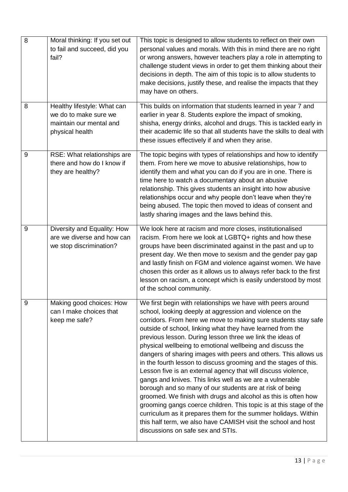| 8 | Moral thinking: If you set out<br>to fail and succeed, did you<br>fail?                            | This topic is designed to allow students to reflect on their own<br>personal values and morals. With this in mind there are no right<br>or wrong answers, however teachers play a role in attempting to<br>challenge student views in order to get them thinking about their<br>decisions in depth. The aim of this topic is to allow students to<br>make decisions, justify these, and realise the impacts that they<br>may have on others.                                                                                                                                                                                                                                                                                                                                                                                                                                                                                                                                                                                      |
|---|----------------------------------------------------------------------------------------------------|-----------------------------------------------------------------------------------------------------------------------------------------------------------------------------------------------------------------------------------------------------------------------------------------------------------------------------------------------------------------------------------------------------------------------------------------------------------------------------------------------------------------------------------------------------------------------------------------------------------------------------------------------------------------------------------------------------------------------------------------------------------------------------------------------------------------------------------------------------------------------------------------------------------------------------------------------------------------------------------------------------------------------------------|
| 8 | Healthy lifestyle: What can<br>we do to make sure we<br>maintain our mental and<br>physical health | This builds on information that students learned in year 7 and<br>earlier in year 8. Students explore the impact of smoking,<br>shisha, energy drinks, alcohol and drugs. This is tackled early in<br>their academic life so that all students have the skills to deal with<br>these issues effectively if and when they arise.                                                                                                                                                                                                                                                                                                                                                                                                                                                                                                                                                                                                                                                                                                   |
| 9 | RSE: What relationships are<br>there and how do I know if<br>they are healthy?                     | The topic begins with types of relationships and how to identify<br>them. From here we move to abusive relationships, how to<br>identify them and what you can do if you are in one. There is<br>time here to watch a documentary about an abusive<br>relationship. This gives students an insight into how abusive<br>relationships occur and why people don't leave when they're<br>being abused. The topic then moved to ideas of consent and<br>lastly sharing images and the laws behind this.                                                                                                                                                                                                                                                                                                                                                                                                                                                                                                                               |
| 9 | Diversity and Equality: How<br>are we diverse and how can<br>we stop discrimination?               | We look here at racism and more closes, institutionalised<br>racism. From here we look at LGBTQ+ rights and how these<br>groups have been discriminated against in the past and up to<br>present day. We then move to sexism and the gender pay gap<br>and lastly finish on FGM and violence against women. We have<br>chosen this order as it allows us to always refer back to the first<br>lesson on racism, a concept which is easily understood by most<br>of the school community.                                                                                                                                                                                                                                                                                                                                                                                                                                                                                                                                          |
| 9 | Making good choices: How<br>can I make choices that<br>keep me safe?                               | We first begin with relationships we have with peers around<br>school, looking deeply at aggression and violence on the<br>corridors. From here we move to making sure students stay safe<br>outside of school, linking what they have learned from the<br>previous lesson. During lesson three we link the ideas of<br>physical wellbeing to emotional wellbeing and discuss the<br>dangers of sharing images with peers and others. This allows us<br>in the fourth lesson to discuss grooming and the stages of this.<br>Lesson five is an external agency that will discuss violence,<br>gangs and knives. This links well as we are a vulnerable<br>borough and so many of our students are at risk of being<br>groomed. We finish with drugs and alcohol as this is often how<br>grooming gangs coerce children. This topic is at this stage of the<br>curriculum as it prepares them for the summer holidays. Within<br>this half term, we also have CAMISH visit the school and host<br>discussions on safe sex and STIs. |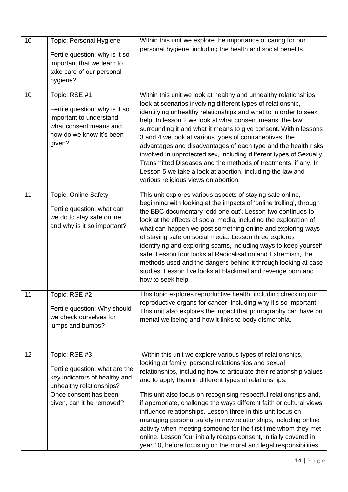| 10 | <b>Topic: Personal Hygiene</b><br>Fertile question: why is it so<br>important that we learn to<br>take care of our personal<br>hygiene?                            | Within this unit we explore the importance of caring for our<br>personal hygiene, including the health and social benefits.                                                                                                                                                                                                                                                                                                                                                                                                                                                                                                                                                                                                                      |
|----|--------------------------------------------------------------------------------------------------------------------------------------------------------------------|--------------------------------------------------------------------------------------------------------------------------------------------------------------------------------------------------------------------------------------------------------------------------------------------------------------------------------------------------------------------------------------------------------------------------------------------------------------------------------------------------------------------------------------------------------------------------------------------------------------------------------------------------------------------------------------------------------------------------------------------------|
| 10 | Topic: RSE #1<br>Fertile question: why is it so<br>important to understand<br>what consent means and<br>how do we know it's been<br>given?                         | Within this unit we look at healthy and unhealthy relationships,<br>look at scenarios involving different types of relationship,<br>identifying unhealthy relationships and what to in order to seek<br>help. In lesson 2 we look at what consent means, the law<br>surrounding it and what it means to give consent. Within lessons<br>3 and 4 we look at various types of contraceptives, the<br>advantages and disadvantages of each type and the health risks<br>involved in unprotected sex, including different types of Sexually<br>Transmitted Diseases and the methods of treatments, if any. In<br>Lesson 5 we take a look at abortion, including the law and<br>various religious views on abortion.                                  |
| 11 | <b>Topic: Online Safety</b><br>Fertile question: what can<br>we do to stay safe online<br>and why is it so important?                                              | This unit explores various aspects of staying safe online,<br>beginning with looking at the impacts of 'online trolling', through<br>the BBC documentary 'odd one out'. Lesson two continues to<br>look at the effects of social media, including the exploration of<br>what can happen we post something online and exploring ways<br>of staying safe on social media. Lesson three explores<br>identifying and exploring scams, including ways to keep yourself<br>safe. Lesson four looks at Radicalisation and Extremism, the<br>methods used and the dangers behind it through looking at case<br>studies. Lesson five looks at blackmail and revenge porn and<br>how to seek help.                                                         |
| 11 | Topic: RSE #2<br>Fertile question: Why should<br>we check ourselves for<br>lumps and bumps?                                                                        | This topic explores reproductive health, including checking our<br>reproductive organs for cancer, including why it's so important.<br>This unit also explores the impact that pornography can have on<br>mental wellbeing and how it links to body dismorphia.                                                                                                                                                                                                                                                                                                                                                                                                                                                                                  |
| 12 | Topic: RSE #3<br>Fertile question: what are the<br>key indicators of healthy and<br>unhealthy relationships?<br>Once consent has been<br>given, can it be removed? | Within this unit we explore various types of relationships,<br>looking at family, personal relationships and sexual<br>relationships, including how to articulate their relationship values<br>and to apply them in different types of relationships.<br>This unit also focus on recognising respectful relationships and,<br>if appropriate, challenge the ways different faith or cultural views<br>influence relationships. Lesson three in this unit focus on<br>managing personal safety in new relationships, including online<br>activity when meeting someone for the first time whom they met<br>online. Lesson four initially recaps consent, initially covered in<br>year 10, before focusing on the moral and legal responsibilities |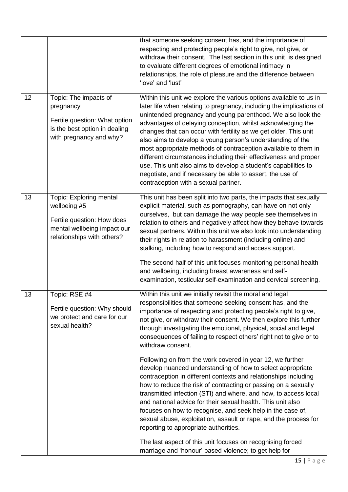|    |                                                                                                                                    | that someone seeking consent has, and the importance of<br>respecting and protecting people's right to give, not give, or<br>withdraw their consent. The last section in this unit is designed<br>to evaluate different degrees of emotional intimacy in<br>relationships, the role of pleasure and the difference between<br>'love' and 'lust'                                                                                                                                                                                                                                                                                                                                                                                                                                                                                                                                                                                                                                                                                                                                                                                   |
|----|------------------------------------------------------------------------------------------------------------------------------------|-----------------------------------------------------------------------------------------------------------------------------------------------------------------------------------------------------------------------------------------------------------------------------------------------------------------------------------------------------------------------------------------------------------------------------------------------------------------------------------------------------------------------------------------------------------------------------------------------------------------------------------------------------------------------------------------------------------------------------------------------------------------------------------------------------------------------------------------------------------------------------------------------------------------------------------------------------------------------------------------------------------------------------------------------------------------------------------------------------------------------------------|
| 12 | Topic: The impacts of<br>pregnancy<br>Fertile question: What option<br>is the best option in dealing<br>with pregnancy and why?    | Within this unit we explore the various options available to us in<br>later life when relating to pregnancy, including the implications of<br>unintended pregnancy and young parenthood. We also look the<br>advantages of delaying conception, whilst acknowledging the<br>changes that can occur with fertility as we get older. This unit<br>also aims to develop a young person's understanding of the<br>most appropriate methods of contraception available to them in<br>different circumstances including their effectiveness and proper<br>use. This unit also aims to develop a student's capabilities to<br>negotiate, and if necessary be able to assert, the use of<br>contraception with a sexual partner.                                                                                                                                                                                                                                                                                                                                                                                                          |
| 13 | Topic: Exploring mental<br>wellbeing #5<br>Fertile question: How does<br>mental wellbeing impact our<br>relationships with others? | This unit has been split into two parts, the impacts that sexually<br>explicit material, such as pornography, can have on not only<br>ourselves, but can damage the way people see themselves in<br>relation to others and negatively affect how they behave towards<br>sexual partners. Within this unit we also look into understanding<br>their rights in relation to harassment (including online) and<br>stalking, including how to respond and access support.<br>The second half of this unit focuses monitoring personal health<br>and wellbeing, including breast awareness and self-<br>examination, testicular self-examination and cervical screening.                                                                                                                                                                                                                                                                                                                                                                                                                                                                |
| 13 | Topic: RSE #4<br>Fertile question: Why should<br>we protect and care for our<br>sexual health?                                     | Within this unit we initially revisit the moral and legal<br>responsibilities that someone seeking consent has, and the<br>importance of respecting and protecting people's right to give,<br>not give, or withdraw their consent. We then explore this further<br>through investigating the emotional, physical, social and legal<br>consequences of failing to respect others' right not to give or to<br>withdraw consent.<br>Following on from the work covered in year 12, we further<br>develop nuanced understanding of how to select appropriate<br>contraception in different contexts and relationships including<br>how to reduce the risk of contracting or passing on a sexually<br>transmitted infection (STI) and where, and how, to access local<br>and national advice for their sexual health. This unit also<br>focuses on how to recognise, and seek help in the case of,<br>sexual abuse, exploitation, assault or rape, and the process for<br>reporting to appropriate authorities.<br>The last aspect of this unit focuses on recognising forced<br>marriage and 'honour' based violence; to get help for |